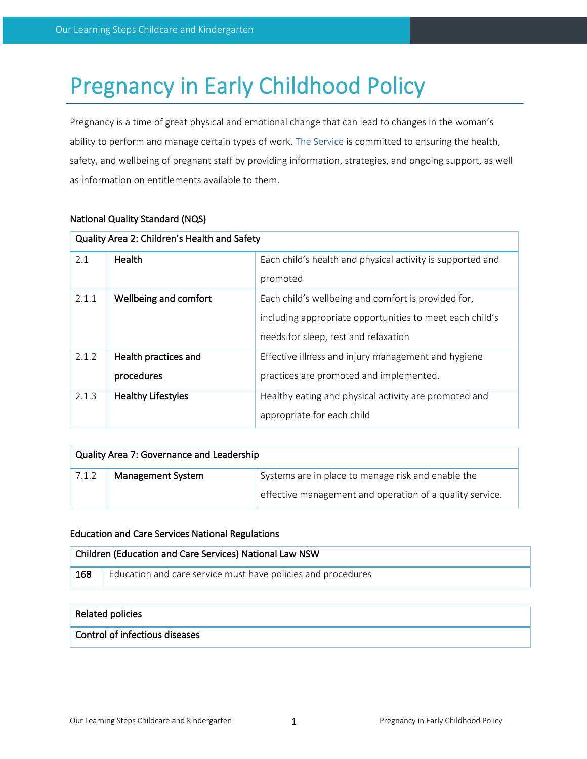# Pregnancy in Early Childhood Policy

Pregnancy is a time of great physical and emotional change that can lead to changes in the woman's ability to perform and manage certain types of work. The Service is committed to ensuring the health, safety, and wellbeing of pregnant staff by providing information, strategies, and ongoing support, as well as information on entitlements available to them.

| Quality Area 2: Children's Health and Safety |                           |                                                            |  |  |
|----------------------------------------------|---------------------------|------------------------------------------------------------|--|--|
| 2.1                                          | Health                    | Each child's health and physical activity is supported and |  |  |
|                                              |                           | promoted                                                   |  |  |
| 2.1.1                                        | Wellbeing and comfort     | Each child's wellbeing and comfort is provided for,        |  |  |
|                                              |                           | including appropriate opportunities to meet each child's   |  |  |
|                                              |                           | needs for sleep, rest and relaxation                       |  |  |
| 2.1.2                                        | Health practices and      | Effective illness and injury management and hygiene        |  |  |
|                                              | procedures                | practices are promoted and implemented.                    |  |  |
| 2.1.3                                        | <b>Healthy Lifestyles</b> | Healthy eating and physical activity are promoted and      |  |  |
|                                              |                           | appropriate for each child                                 |  |  |

# National Quality Standard (NQS)

| Quality Area 7: Governance and Leadership |                          |                                                          |  |  |
|-------------------------------------------|--------------------------|----------------------------------------------------------|--|--|
| 7.1.2                                     | <b>Management System</b> | Systems are in place to manage risk and enable the       |  |  |
|                                           |                          | effective management and operation of a quality service. |  |  |

## Education and Care Services National Regulations

| Children (Education and Care Services) National Law NSW |                                                              |  |
|---------------------------------------------------------|--------------------------------------------------------------|--|
| 168                                                     | Education and care service must have policies and procedures |  |

#### Related policies

# Control of infectious diseases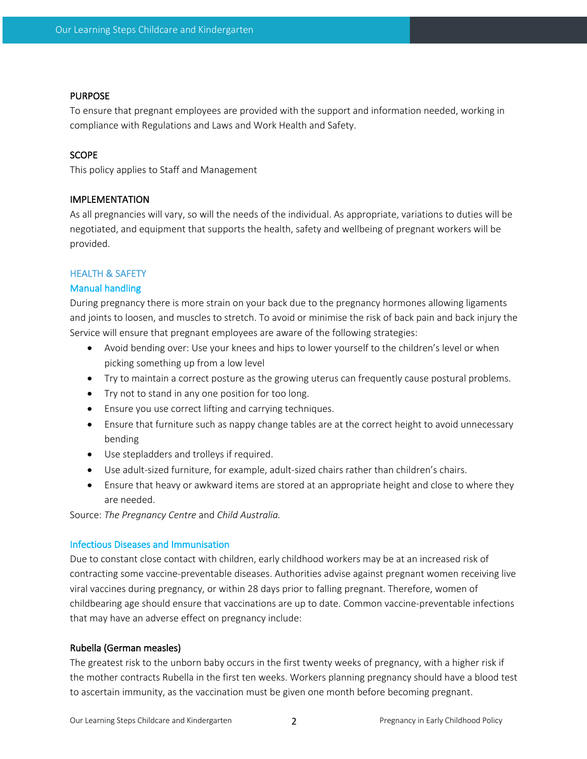#### PURPOSE

To ensure that pregnant employees are provided with the support and information needed, working in compliance with Regulations and Laws and Work Health and Safety.

## **SCOPE**

This policy applies to Staff and Management

## IMPLEMENTATION

As all pregnancies will vary, so will the needs of the individual. As appropriate, variations to duties will be negotiated, and equipment that supports the health, safety and wellbeing of pregnant workers will be provided.

# HEALTH & SAFETY

## Manual handling

During pregnancy there is more strain on your back due to the pregnancy hormones allowing ligaments and joints to loosen, and muscles to stretch. To avoid or minimise the risk of back pain and back injury the Service will ensure that pregnant employees are aware of the following strategies:

- Avoid bending over: Use your knees and hips to lower yourself to the children's level or when picking something up from a low level
- Try to maintain a correct posture as the growing uterus can frequently cause postural problems.
- Try not to stand in any one position for too long.
- Ensure you use correct lifting and carrying techniques.
- Ensure that furniture such as nappy change tables are at the correct height to avoid unnecessary bending
- Use stepladders and trolleys if required.
- Use adult-sized furniture, for example, adult-sized chairs rather than children's chairs.
- Ensure that heavy or awkward items are stored at an appropriate height and close to where they are needed.

Source: *The Pregnancy Centre* and *Child Australia.*

## Infectious Diseases and Immunisation

Due to constant close contact with children, early childhood workers may be at an increased risk of contracting some vaccine-preventable diseases. Authorities advise against pregnant women receiving live viral vaccines during pregnancy, or within 28 days prior to falling pregnant. Therefore, women of childbearing age should ensure that vaccinations are up to date. Common vaccine-preventable infections that may have an adverse effect on pregnancy include:

## Rubella (German measles)

The greatest risk to the unborn baby occurs in the first twenty weeks of pregnancy, with a higher risk if the mother contracts Rubella in the first ten weeks. Workers planning pregnancy should have a blood test to ascertain immunity, as the vaccination must be given one month before becoming pregnant.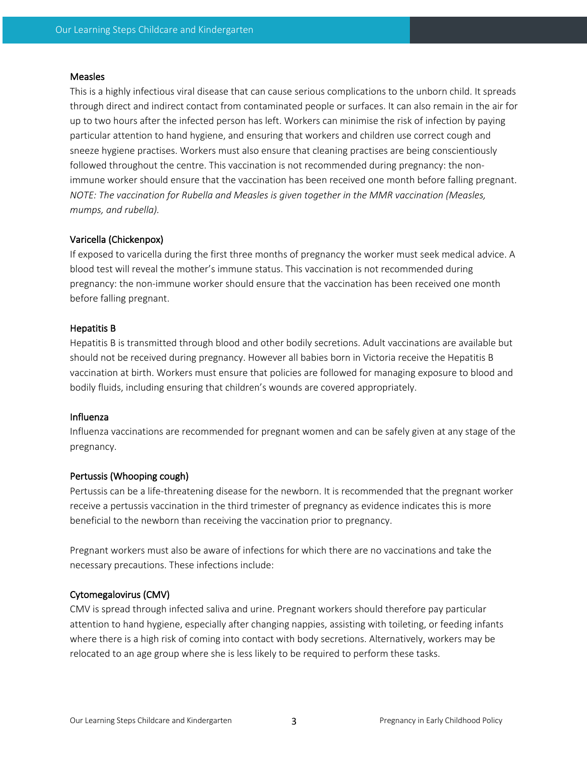#### **Measles**

This is a highly infectious viral disease that can cause serious complications to the unborn child. It spreads through direct and indirect contact from contaminated people or surfaces. It can also remain in the air for up to two hours after the infected person has left. Workers can minimise the risk of infection by paying particular attention to hand hygiene, and ensuring that workers and children use correct cough and sneeze hygiene practises. Workers must also ensure that cleaning practises are being conscientiously followed throughout the centre. This vaccination is not recommended during pregnancy: the nonimmune worker should ensure that the vaccination has been received one month before falling pregnant. *NOTE: The vaccination for Rubella and Measles is given together in the MMR vaccination (Measles, mumps, and rubella).*

## Varicella (Chickenpox)

If exposed to varicella during the first three months of pregnancy the worker must seek medical advice. A blood test will reveal the mother's immune status. This vaccination is not recommended during pregnancy: the non-immune worker should ensure that the vaccination has been received one month before falling pregnant.

#### Hepatitis B

Hepatitis B is transmitted through blood and other bodily secretions. Adult vaccinations are available but should not be received during pregnancy. However all babies born in Victoria receive the Hepatitis B vaccination at birth. Workers must ensure that policies are followed for managing exposure to blood and bodily fluids, including ensuring that children's wounds are covered appropriately.

#### Influenza

Influenza vaccinations are recommended for pregnant women and can be safely given at any stage of the pregnancy.

#### Pertussis (Whooping cough)

Pertussis can be a life-threatening disease for the newborn. It is recommended that the pregnant worker receive a pertussis vaccination in the third trimester of pregnancy as evidence indicates this is more beneficial to the newborn than receiving the vaccination prior to pregnancy.

Pregnant workers must also be aware of infections for which there are no vaccinations and take the necessary precautions. These infections include:

#### Cytomegalovirus (CMV)

CMV is spread through infected saliva and urine. Pregnant workers should therefore pay particular attention to hand hygiene, especially after changing nappies, assisting with toileting, or feeding infants where there is a high risk of coming into contact with body secretions. Alternatively, workers may be relocated to an age group where she is less likely to be required to perform these tasks.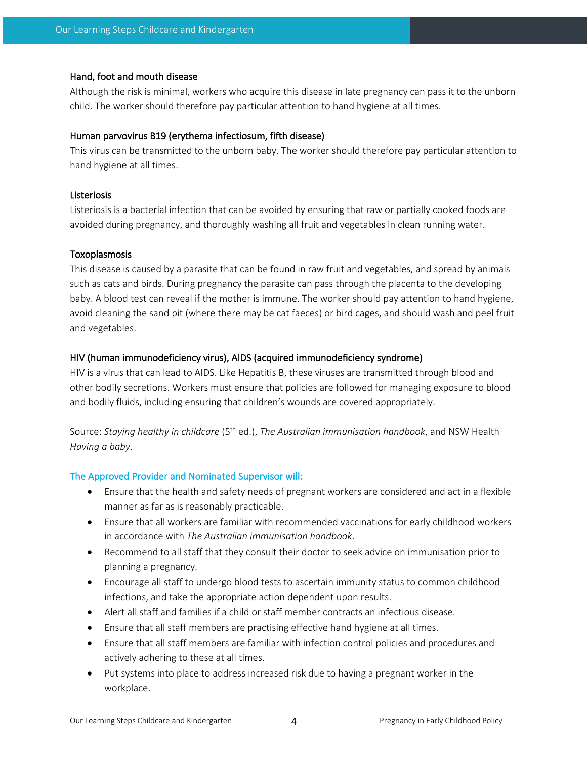#### Hand, foot and mouth disease

Although the risk is minimal, workers who acquire this disease in late pregnancy can pass it to the unborn child. The worker should therefore pay particular attention to hand hygiene at all times.

#### Human parvovirus B19 (erythema infectiosum, fifth disease)

This virus can be transmitted to the unborn baby. The worker should therefore pay particular attention to hand hygiene at all times.

#### Listeriosis

Listeriosis is a bacterial infection that can be avoided by ensuring that raw or partially cooked foods are avoided during pregnancy, and thoroughly washing all fruit and vegetables in clean running water.

#### Toxoplasmosis

This disease is caused by a parasite that can be found in raw fruit and vegetables, and spread by animals such as cats and birds. During pregnancy the parasite can pass through the placenta to the developing baby. A blood test can reveal if the mother is immune. The worker should pay attention to hand hygiene, avoid cleaning the sand pit (where there may be cat faeces) or bird cages, and should wash and peel fruit and vegetables.

#### HIV (human immunodeficiency virus), AIDS (acquired immunodeficiency syndrome)

HIV is a virus that can lead to AIDS. Like Hepatitis B, these viruses are transmitted through blood and other bodily secretions. Workers must ensure that policies are followed for managing exposure to blood and bodily fluids, including ensuring that children's wounds are covered appropriately.

Source: *Staying healthy in childcare* (5th ed.), *The Australian immunisation handbook*, and NSW Health *Having a baby*.

#### The Approved Provider and Nominated Supervisor will:

- Ensure that the health and safety needs of pregnant workers are considered and act in a flexible manner as far as is reasonably practicable.
- Ensure that all workers are familiar with recommended vaccinations for early childhood workers in accordance with *The Australian immunisation handbook*.
- Recommend to all staff that they consult their doctor to seek advice on immunisation prior to planning a pregnancy.
- Encourage all staff to undergo blood tests to ascertain immunity status to common childhood infections, and take the appropriate action dependent upon results.
- Alert all staff and families if a child or staff member contracts an infectious disease.
- Ensure that all staff members are practising effective hand hygiene at all times.
- Ensure that all staff members are familiar with infection control policies and procedures and actively adhering to these at all times.
- Put systems into place to address increased risk due to having a pregnant worker in the workplace.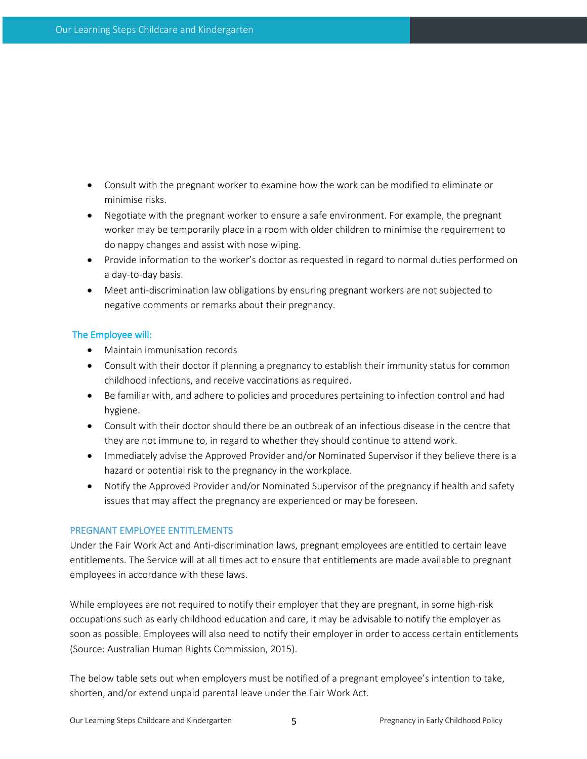- Consult with the pregnant worker to examine how the work can be modified to eliminate or minimise risks.
- Negotiate with the pregnant worker to ensure a safe environment. For example, the pregnant worker may be temporarily place in a room with older children to minimise the requirement to do nappy changes and assist with nose wiping.
- Provide information to the worker's doctor as requested in regard to normal duties performed on a day-to-day basis.
- Meet anti-discrimination law obligations by ensuring pregnant workers are not subjected to negative comments or remarks about their pregnancy.

## The Employee will:

- Maintain immunisation records
- Consult with their doctor if planning a pregnancy to establish their immunity status for common childhood infections, and receive vaccinations as required.
- Be familiar with, and adhere to policies and procedures pertaining to infection control and had hygiene.
- Consult with their doctor should there be an outbreak of an infectious disease in the centre that they are not immune to, in regard to whether they should continue to attend work.
- Immediately advise the Approved Provider and/or Nominated Supervisor if they believe there is a hazard or potential risk to the pregnancy in the workplace.
- Notify the Approved Provider and/or Nominated Supervisor of the pregnancy if health and safety issues that may affect the pregnancy are experienced or may be foreseen.

## PREGNANT EMPLOYEE ENTITLEMENTS

Under the Fair Work Act and Anti-discrimination laws, pregnant employees are entitled to certain leave entitlements. The Service will at all times act to ensure that entitlements are made available to pregnant employees in accordance with these laws.

While employees are not required to notify their employer that they are pregnant, in some high-risk occupations such as early childhood education and care, it may be advisable to notify the employer as soon as possible. Employees will also need to notify their employer in order to access certain entitlements (Source: Australian Human Rights Commission, 2015).

The below table sets out when employers must be notified of a pregnant employee's intention to take, shorten, and/or extend unpaid parental leave under the Fair Work Act.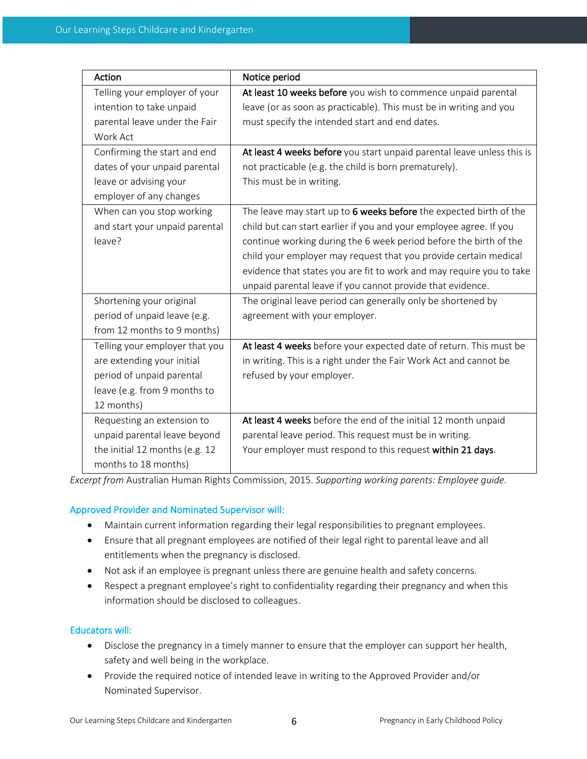| Action                         | Notice period                                                          |
|--------------------------------|------------------------------------------------------------------------|
| Telling your employer of your  | At least 10 weeks before you wish to commence unpaid parental          |
| intention to take unpaid       | leave (or as soon as practicable). This must be in writing and you     |
| parental leave under the Fair  | must specify the intended start and end dates.                         |
| Work Act                       |                                                                        |
| Confirming the start and end   | At least 4 weeks before you start unpaid parental leave unless this is |
| dates of your unpaid parental  | not practicable (e.g. the child is born prematurely).                  |
| leave or advising your         | This must be in writing.                                               |
| employer of any changes        |                                                                        |
| When can you stop working      | The leave may start up to 6 weeks before the expected birth of the     |
| and start your unpaid parental | child but can start earlier if you and your employee agree. If you     |
| leave?                         | continue working during the 6 week period before the birth of the      |
|                                | child your employer may request that you provide certain medical       |
|                                | evidence that states you are fit to work and may require you to take   |
|                                | unpaid parental leave if you cannot provide that evidence.             |
| Shortening your original       | The original leave period can generally only be shortened by           |
| period of unpaid leave (e.g.   | agreement with your employer.                                          |
| from 12 months to 9 months)    |                                                                        |
| Telling your employer that you | At least 4 weeks before your expected date of return. This must be     |
| are extending your initial     | in writing. This is a right under the Fair Work Act and cannot be      |
| period of unpaid parental      | refused by your employer.                                              |
| leave (e.g. from 9 months to   |                                                                        |
| 12 months)                     |                                                                        |
| Requesting an extension to     | At least 4 weeks before the end of the initial 12 month unpaid         |
| unpaid parental leave beyond   | parental leave period. This request must be in writing.                |
| the initial 12 months (e.g. 12 | Your employer must respond to this request within 21 days.             |
| months to 18 months)           |                                                                        |

*Excerpt from* Australian Human Rights Commission, 2015. *Supporting working parents: Employee guide.*

# Approved Provider and Nominated Supervisor will:

- Maintain current information regarding their legal responsibilities to pregnant employees.
- Ensure that all pregnant employees are notified of their legal right to parental leave and all entitlements when the pregnancy is disclosed.
- Not ask if an employee is pregnant unless there are genuine health and safety concerns.
- Respect a pregnant employee's right to confidentiality regarding their pregnancy and when this information should be disclosed to colleagues.

# Educators will:

- Disclose the pregnancy in a timely manner to ensure that the employer can support her health, safety and well being in the workplace.
- Provide the required notice of intended leave in writing to the Approved Provider and/or Nominated Supervisor.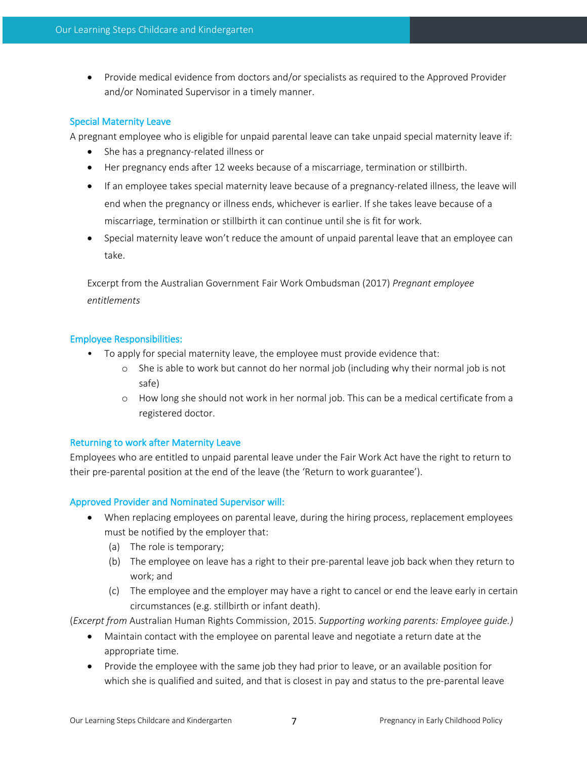• Provide medical evidence from doctors and/or specialists as required to the Approved Provider and/or Nominated Supervisor in a timely manner.

## Special Maternity Leave

A pregnant employee who is eligible for unpaid parental leave can take unpaid special maternity leave if:

- She has a pregnancy-related illness or
- Her pregnancy ends after 12 weeks because of a miscarriage, termination or stillbirth.
- If an employee takes special maternity leave because of a pregnancy-related illness, the leave will end when the pregnancy or illness ends, whichever is earlier. If she takes leave because of a miscarriage, termination or stillbirth it can continue until she is fit for work.
- Special maternity leave won't reduce the amount of unpaid parental leave that an employee can take.

Excerpt from the Australian Government Fair Work Ombudsman (2017) *Pregnant employee entitlements*

# Employee Responsibilities:

- To apply for special maternity leave, the employee must provide evidence that:
	- o She is able to work but cannot do her normal job (including why their normal job is not safe)
	- o How long she should not work in her normal job. This can be a medical certificate from a registered doctor.

## Returning to work after Maternity Leave

Employees who are entitled to unpaid parental leave under the Fair Work Act have the right to return to their pre-parental position at the end of the leave (the 'Return to work guarantee').

# Approved Provider and Nominated Supervisor will:

- When replacing employees on parental leave, during the hiring process, replacement employees must be notified by the employer that:
	- (a) The role is temporary;
	- (b) The employee on leave has a right to their pre-parental leave job back when they return to work; and
	- (c) The employee and the employer may have a right to cancel or end the leave early in certain circumstances (e.g. stillbirth or infant death).

(*Excerpt from* Australian Human Rights Commission, 2015. *Supporting working parents: Employee guide.)*

- Maintain contact with the employee on parental leave and negotiate a return date at the appropriate time.
- Provide the employee with the same job they had prior to leave, or an available position for which she is qualified and suited, and that is closest in pay and status to the pre-parental leave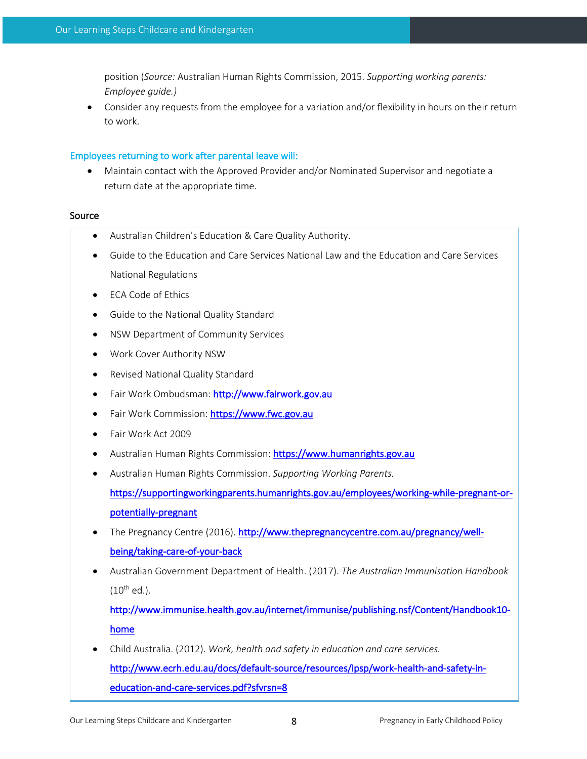position (*Source:* Australian Human Rights Commission, 2015. *Supporting working parents: Employee guide.)*

• Consider any requests from the employee for a variation and/or flexibility in hours on their return to work.

#### Employees returning to work after parental leave will:

• Maintain contact with the Approved Provider and/or Nominated Supervisor and negotiate a return date at the appropriate time.

#### Source

- Australian Children's Education & Care Quality Authority.
- Guide to the Education and Care Services National Law and the Education and Care Services National Regulations
- ECA Code of Ethics
- Guide to the National Quality Standard
- NSW Department of Community Services
- Work Cover Authority NSW
- Revised National Quality Standard
- Fair Work Ombudsman: http://www.fairwork.gov.au
- Fair Work Commission: https://www.fwc.gov.au
- Fair Work Act 2009
- Australian Human Rights Commission: https://www.humanrights.gov.au
- Australian Human Rights Commission. *Supporting Working Parents.*

https://supportingworkingparents.humanrights.gov.au/employees/working-while-pregnant-orpotentially-pregnant

- The Pregnancy Centre (2016). http://www.thepregnancycentre.com.au/pregnancy/wellbeing/taking-care-of-your-back
- Australian Government Department of Health. (2017). *The Australian Immunisation Handbook*  $(10^{th}$  ed.).

http://www.immunise.health.gov.au/internet/immunise/publishing.nsf/Content/Handbook10 home

• Child Australia. (2012). *Work, health and safety in education and care services.* http://www.ecrh.edu.au/docs/default-source/resources/ipsp/work-health-and-safety-ineducation-and-care-services.pdf?sfvrsn=8